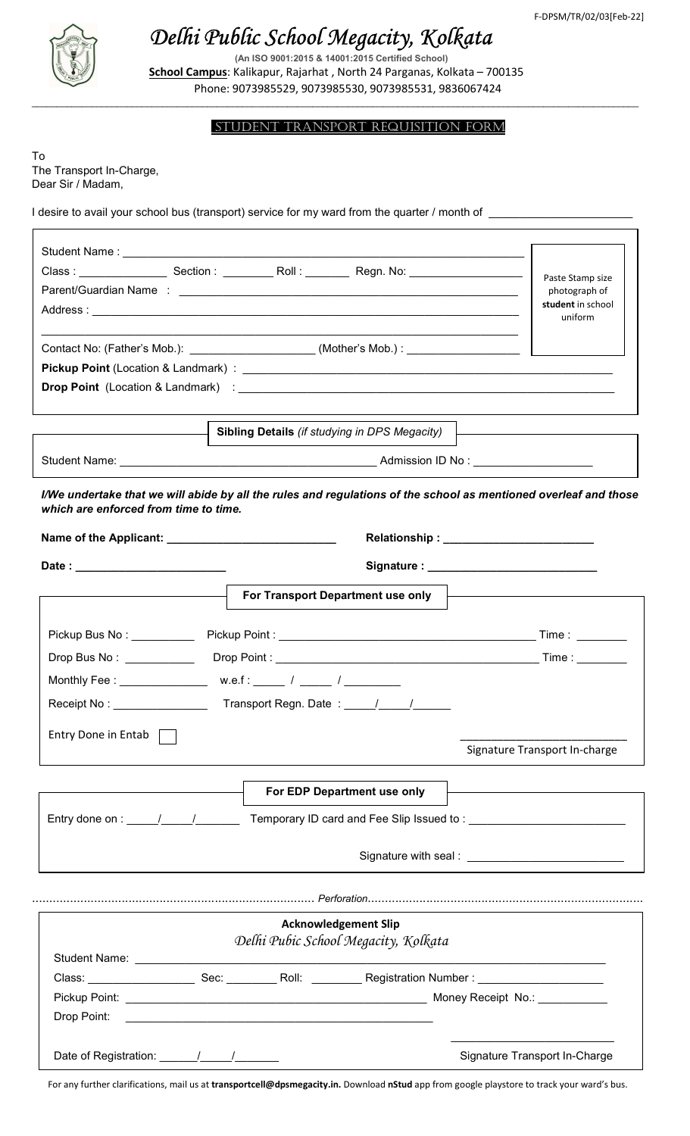

# Delhi Public School Megacity, Kolkata

(An ISO 9001:2015 & 14001:2015 Certified School) School Campus: Kalikapur, Rajarhat, North 24 Parganas, Kolkata - 700135 Phone: 9073985529, 9073985530, 9073985531, 9836067424

 $\mathcal{L} = \{ \mathcal{L} = \{ \mathcal{L} = \{ \mathcal{L} = \{ \mathcal{L} = \{ \mathcal{L} = \{ \mathcal{L} = \{ \mathcal{L} = \{ \mathcal{L} = \{ \mathcal{L} = \{ \mathcal{L} = \{ \mathcal{L} = \{ \mathcal{L} = \{ \mathcal{L} = \{ \mathcal{L} = \{ \mathcal{L} = \{ \mathcal{L} = \{ \mathcal{L} = \{ \mathcal{L} = \{ \mathcal{L} = \{ \mathcal{L} = \{ \mathcal{L} = \{ \mathcal{L} = \{ \mathcal{L} = \{ \mathcal{$ 

## Student tranSport reQuISItIon ForM

To The Transport In-Charge, Dear Sir / Madam,

I desire to avail your school bus (transport) service for my ward from the quarter / month of \_

|                                                       |                                                                                   | Paste Stamp size                                                                                                 |
|-------------------------------------------------------|-----------------------------------------------------------------------------------|------------------------------------------------------------------------------------------------------------------|
|                                                       |                                                                                   | photograph of<br>student in school                                                                               |
|                                                       |                                                                                   | uniform                                                                                                          |
|                                                       |                                                                                   |                                                                                                                  |
|                                                       | Contact No: (Father's Mob.): ______________________(Mother's Mob.) : ____________ |                                                                                                                  |
|                                                       |                                                                                   |                                                                                                                  |
|                                                       |                                                                                   |                                                                                                                  |
|                                                       | Sibling Details (if studying in DPS Megacity)                                     |                                                                                                                  |
|                                                       |                                                                                   |                                                                                                                  |
| which are enforced from time to time.                 |                                                                                   | I/We undertake that we will abide by all the rules and regulations of the school as mentioned overleaf and those |
|                                                       |                                                                                   |                                                                                                                  |
|                                                       |                                                                                   |                                                                                                                  |
|                                                       | For Transport Department use only                                                 |                                                                                                                  |
|                                                       |                                                                                   |                                                                                                                  |
| Pickup Bus No : __________                            |                                                                                   |                                                                                                                  |
|                                                       |                                                                                   |                                                                                                                  |
|                                                       |                                                                                   |                                                                                                                  |
|                                                       | Receipt No: ___________________________Transport Regn. Date: _____/_____/_______  |                                                                                                                  |
|                                                       |                                                                                   |                                                                                                                  |
|                                                       |                                                                                   |                                                                                                                  |
| Entry Done in Entab                                   |                                                                                   |                                                                                                                  |
|                                                       |                                                                                   | Signature Transport In-charge                                                                                    |
|                                                       |                                                                                   |                                                                                                                  |
|                                                       | For EDP Department use only                                                       |                                                                                                                  |
| Entry done on : $\frac{1}{\frac{1}{2} + \frac{1}{2}}$ |                                                                                   | Temporary ID card and Fee Slip Issued to: Network and Temporary ID card and Fee Slip Issued to:                  |
|                                                       |                                                                                   |                                                                                                                  |
|                                                       |                                                                                   | Signature with seal : _________________________________                                                          |
|                                                       |                                                                                   |                                                                                                                  |
|                                                       |                                                                                   |                                                                                                                  |
|                                                       | <b>Acknowledgement Slip</b><br>Delhi Pubic School Megacity, Kolkata               |                                                                                                                  |
|                                                       |                                                                                   |                                                                                                                  |
|                                                       |                                                                                   |                                                                                                                  |
|                                                       |                                                                                   |                                                                                                                  |

For any further clarifications, mail us at transportcell@dpsmegacity.in. Download nStud app from google playstore to track your ward's bus.